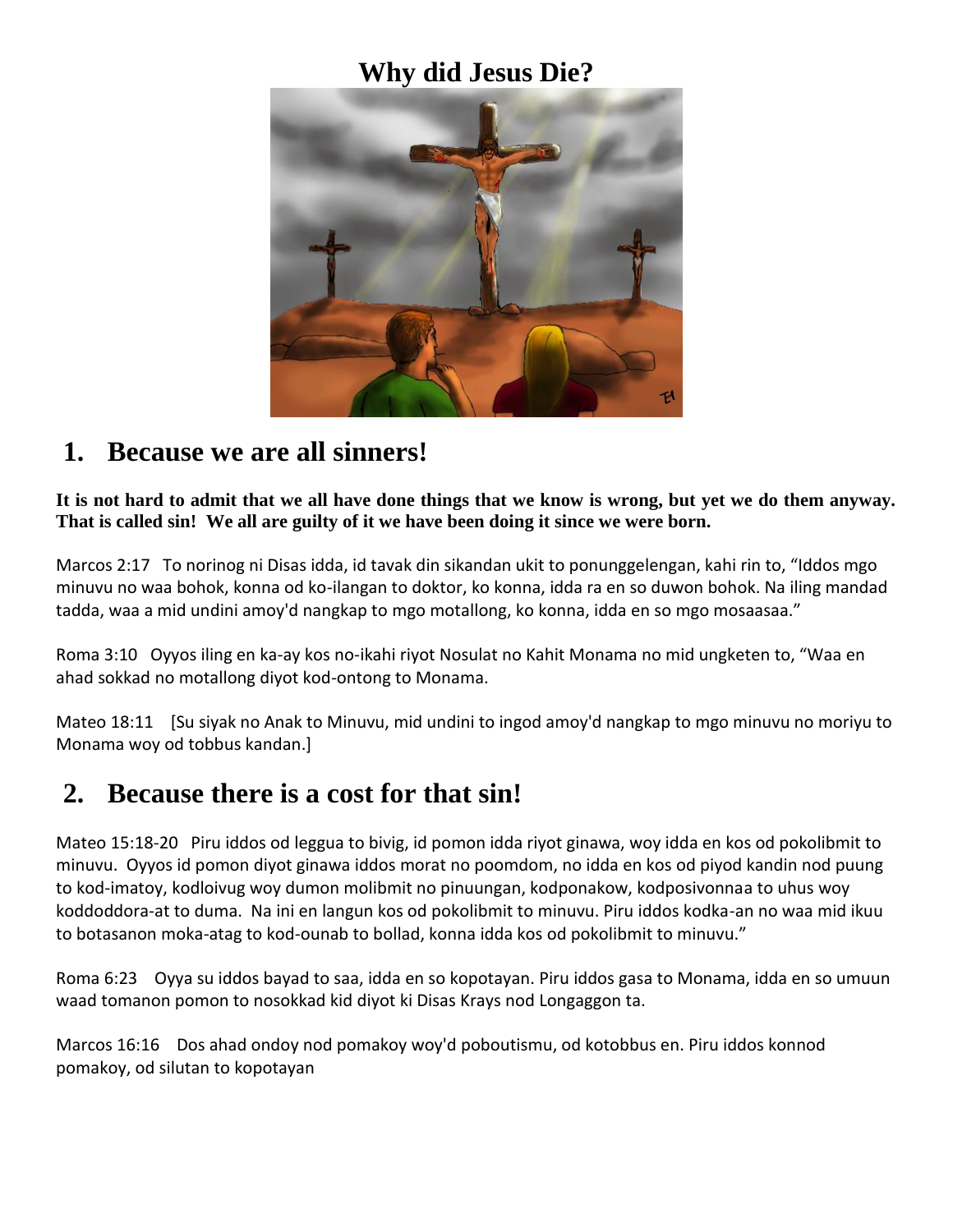#### **Why did Jesus Die?**



#### **1. Because we are all sinners!**

**It is not hard to admit that we all have done things that we know is wrong, but yet we do them anyway. That is called sin! We all are guilty of it we have been doing it since we were born.**

Marcos 2:17 To norinog ni Disas idda, id tavak din sikandan ukit to ponunggelengan, kahi rin to, "Iddos mgo minuvu no waa bohok, konna od ko-ilangan to doktor, ko konna, idda ra en so duwon bohok. Na iling mandad tadda, waa a mid undini amoy'd nangkap to mgo motallong, ko konna, idda en so mgo mosaasaa."

Roma 3:10 Oyyos iling en ka-ay kos no-ikahi riyot Nosulat no Kahit Monama no mid ungketen to, "Waa en ahad sokkad no motallong diyot kod-ontong to Monama.

Mateo 18:11 [Su siyak no Anak to Minuvu, mid undini to ingod amoy'd nangkap to mgo minuvu no moriyu to Monama woy od tobbus kandan.]

### **2. Because there is a cost for that sin!**

Mateo 15:18-20 Piru iddos od leggua to bivig, id pomon idda riyot ginawa, woy idda en kos od pokolibmit to minuvu. Oyyos id pomon diyot ginawa iddos morat no poomdom, no idda en kos od piyod kandin nod puung to kod-imatoy, kodloivug woy dumon molibmit no pinuungan, kodponakow, kodposivonnaa to uhus woy koddoddora-at to duma. Na ini en langun kos od pokolibmit to minuvu. Piru iddos kodka-an no waa mid ikuu to botasanon moka-atag to kod-ounab to bollad, konna idda kos od pokolibmit to minuvu."

Roma 6:23 Oyya su iddos bayad to saa, idda en so kopotayan. Piru iddos gasa to Monama, idda en so umuun waad tomanon pomon to nosokkad kid diyot ki Disas Krays nod Longaggon ta.

Marcos 16:16 Dos ahad ondoy nod pomakoy woy'd poboutismu, od kotobbus en. Piru iddos konnod pomakoy, od silutan to kopotayan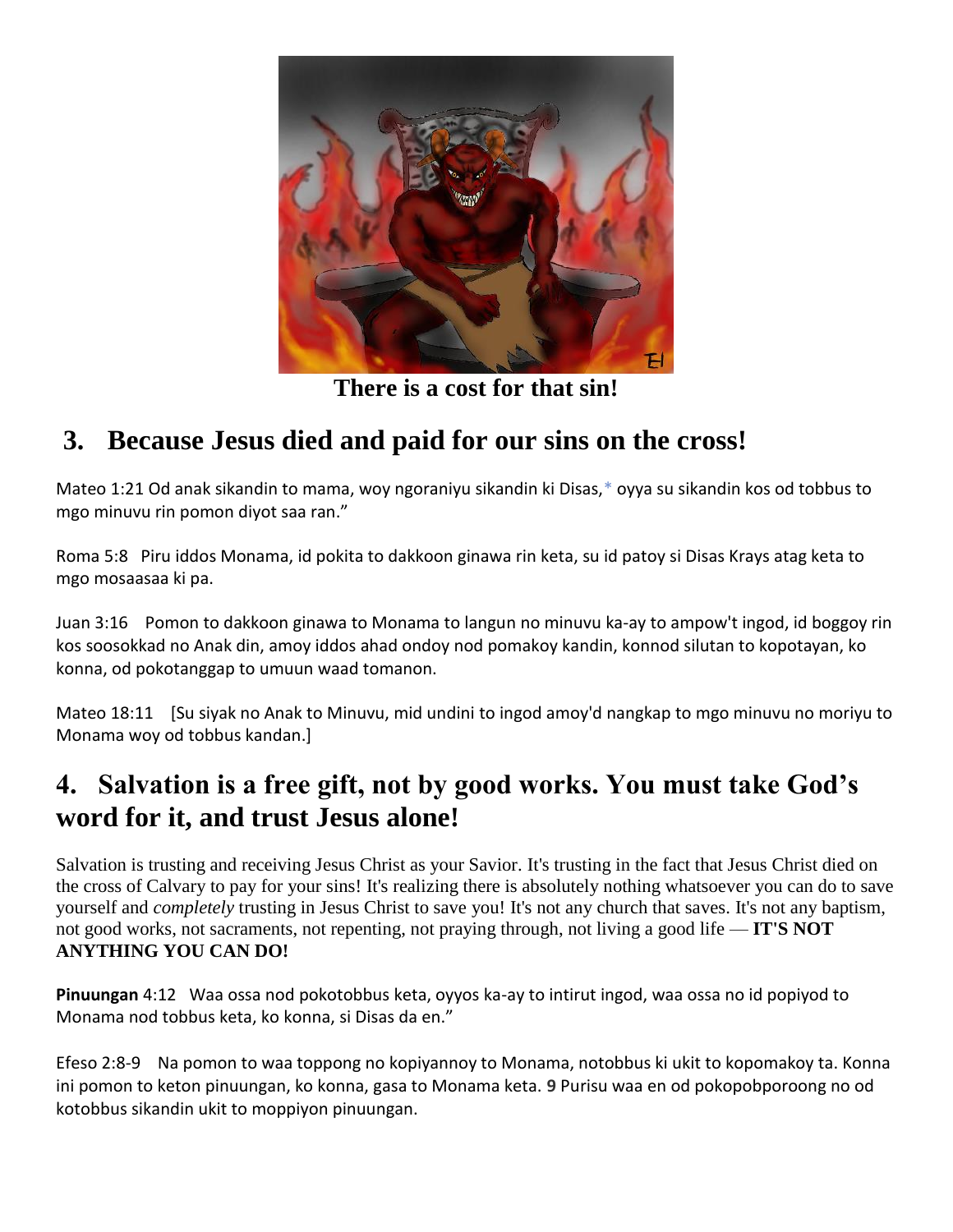

**There is a cost for that sin!**

## **3. Because Jesus died and paid for our sins on the cross!**

Mateo 1:21 Od anak sikandin to mama, woy ngoraniyu sikandin ki Disas[,\\*](http://ebible.org/study/content/texts/OBOWBT/MT1.html#note-3) oyya su sikandin kos od tobbus to mgo minuvu rin pomon diyot saa ran."

Roma 5:8 Piru iddos Monama, id pokita to dakkoon ginawa rin keta, su id patoy si Disas Krays atag keta to mgo mosaasaa ki pa.

Juan 3:16 Pomon to dakkoon ginawa to Monama to langun no minuvu ka-ay to ampow't ingod, id boggoy rin kos soosokkad no Anak din, amoy iddos ahad ondoy nod pomakoy kandin, konnod silutan to kopotayan, ko konna, od pokotanggap to umuun waad tomanon.

Mateo 18:11 [Su siyak no Anak to Minuvu, mid undini to ingod amoy'd nangkap to mgo minuvu no moriyu to Monama woy od tobbus kandan.]

## **4. Salvation is a free gift, not by good works. You must take God's word for it, and trust Jesus alone!**

Salvation is trusting and receiving Jesus Christ as your Savior. It's trusting in the fact that Jesus Christ died on the cross of Calvary to pay for your sins! It's realizing there is absolutely nothing whatsoever you can do to save yourself and *completely* trusting in Jesus Christ to save you! It's not any church that saves. It's not any baptism, not good works, not sacraments, not repenting, not praying through, not living a good life — **IT'S NOT ANYTHING YOU CAN DO!**

**Pinuungan** 4:12 Waa ossa nod pokotobbus keta, oyyos ka-ay to intirut ingod, waa ossa no id popiyod to Monama nod tobbus keta, ko konna, si Disas da en."

Efeso 2:8-9 Na pomon to waa toppong no kopiyannoy to Monama, notobbus ki ukit to kopomakoy ta. Konna ini pomon to keton pinuungan, ko konna, gasa to Monama keta. **9** Purisu waa en od pokopobporoong no od kotobbus sikandin ukit to moppiyon pinuungan.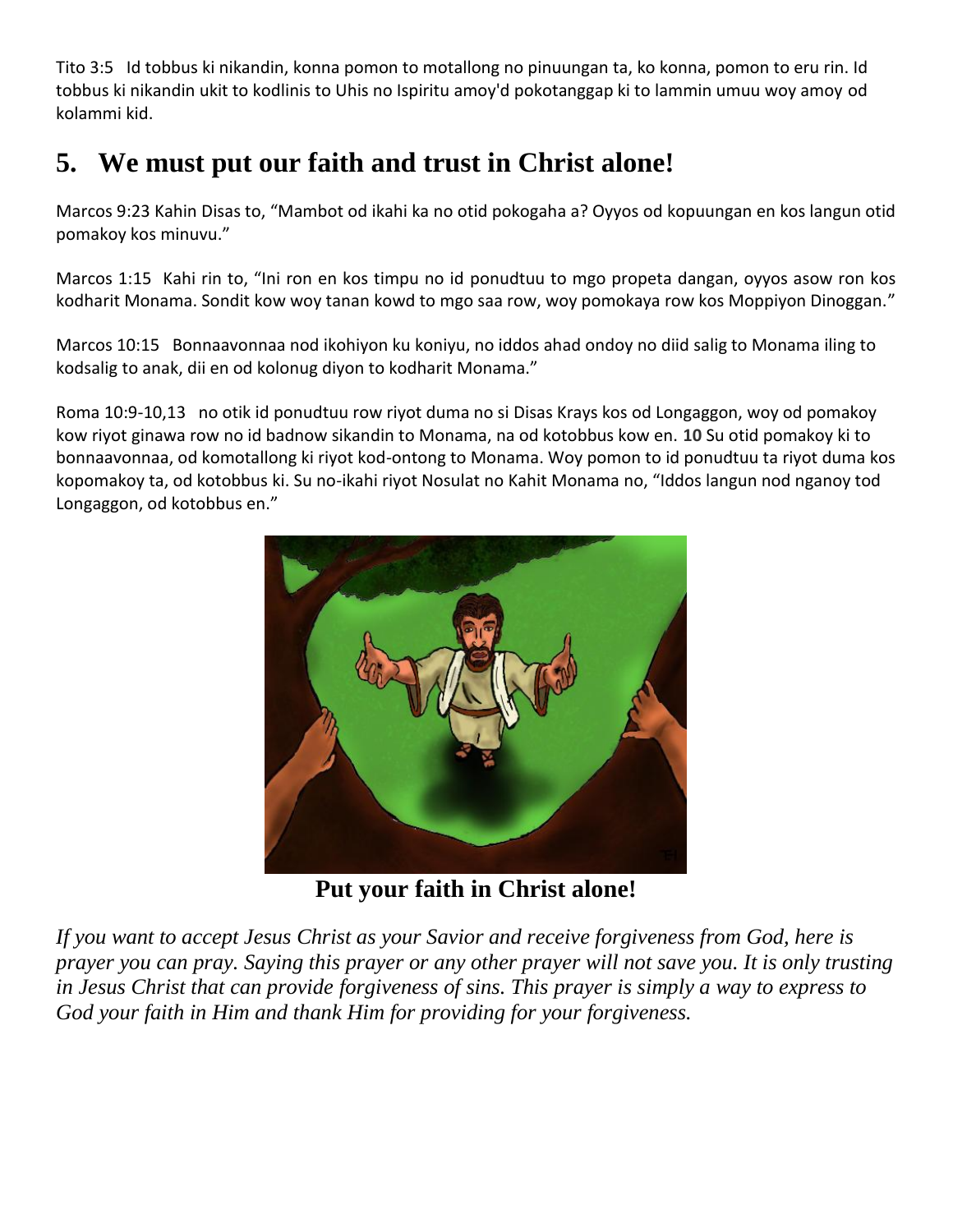Tito 3:5 Id tobbus ki nikandin, konna pomon to motallong no pinuungan ta, ko konna, pomon to eru rin. Id tobbus ki nikandin ukit to kodlinis to Uhis no Ispiritu amoy'd pokotanggap ki to lammin umuu woy amoy od kolammi kid.

# **5. We must put our faith and trust in Christ alone!**

Marcos 9:23 Kahin Disas to, "Mambot od ikahi ka no otid pokogaha a? Oyyos od kopuungan en kos langun otid pomakoy kos minuvu."

Marcos 1:15 Kahi rin to, "Ini ron en kos timpu no id ponudtuu to mgo propeta dangan, oyyos asow ron kos kodharit Monama. Sondit kow woy tanan kowd to mgo saa row, woy pomokaya row kos Moppiyon Dinoggan."

Marcos 10:15 Bonnaavonnaa nod ikohiyon ku koniyu, no iddos ahad ondoy no diid salig to Monama iling to kodsalig to anak, dii en od kolonug diyon to kodharit Monama."

Roma 10:9-10,13 no otik id ponudtuu row riyot duma no si Disas Krays kos od Longaggon, woy od pomakoy kow riyot ginawa row no id badnow sikandin to Monama, na od kotobbus kow en. **10** Su otid pomakoy ki to bonnaavonnaa, od komotallong ki riyot kod-ontong to Monama. Woy pomon to id ponudtuu ta riyot duma kos kopomakoy ta, od kotobbus ki. Su no-ikahi riyot Nosulat no Kahit Monama no, "Iddos langun nod nganoy tod Longaggon, od kotobbus en."



**Put your faith in Christ alone!**

*If you want to accept Jesus Christ as your Savior and receive forgiveness from God, here is prayer you can pray. Saying this prayer or any other prayer will not save you. It is only trusting in Jesus Christ that can provide forgiveness of sins. This prayer is simply a way to express to God your faith in Him and thank Him for providing for your forgiveness.*